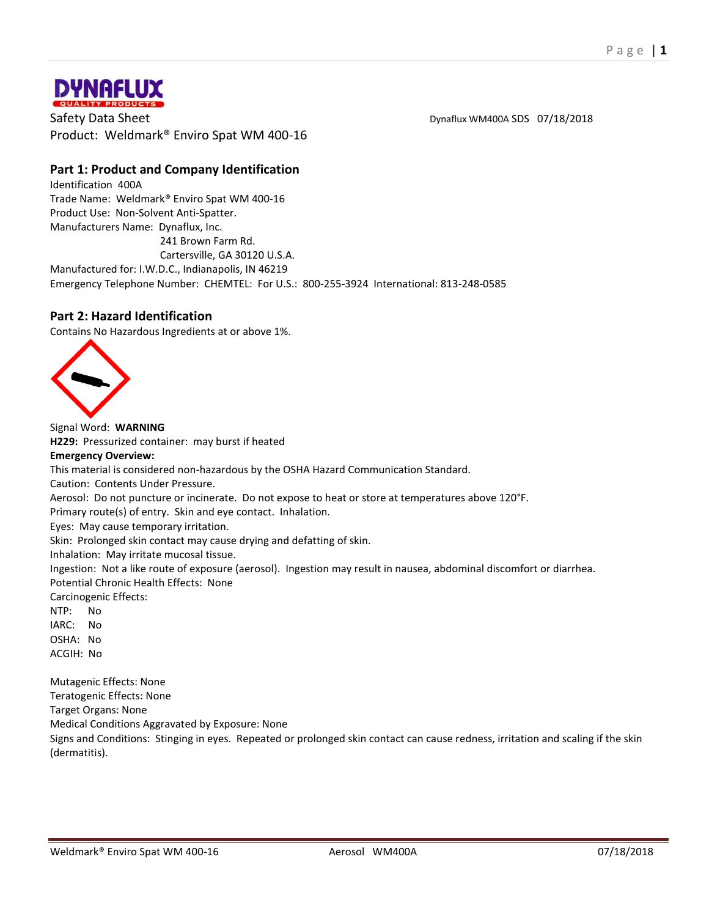

Safety Data Sheet **Disk and Sheet Controller Sheet** Dynaflux WM400A SDS 07/18/2018 Product: Weldmark® Enviro Spat WM 400-16

# **Part 1: Product and Company Identification**

Identification 400A Trade Name: Weldmark® Enviro Spat WM 400-16 Product Use: Non-Solvent Anti-Spatter. Manufacturers Name: Dynaflux, Inc. 241 Brown Farm Rd.

Cartersville, GA 30120 U.S.A.

Manufactured for: I.W.D.C., Indianapolis, IN 46219

Emergency Telephone Number: CHEMTEL: For U.S.: 800-255-3924 International: 813-248-0585

## **Part 2: Hazard Identification**

Contains No Hazardous Ingredients at or above 1%.



Signal Word: **WARNING H229:** Pressurized container: may burst if heated **Emergency Overview:** This material is considered non-hazardous by the OSHA Hazard Communication Standard. Caution: Contents Under Pressure. Aerosol: Do not puncture or incinerate. Do not expose to heat or store at temperatures above 120°F. Primary route(s) of entry. Skin and eye contact. Inhalation. Eyes: May cause temporary irritation. Skin: Prolonged skin contact may cause drying and defatting of skin. Inhalation: May irritate mucosal tissue. Ingestion: Not a like route of exposure (aerosol). Ingestion may result in nausea, abdominal discomfort or diarrhea. Potential Chronic Health Effects: None Carcinogenic Effects: NTP: No IARC: No OSHA: No ACGIH: No Mutagenic Effects: None Teratogenic Effects: None Target Organs: None Medical Conditions Aggravated by Exposure: None Signs and Conditions: Stinging in eyes. Repeated or prolonged skin contact can cause redness, irritation and scaling if the skin (dermatitis).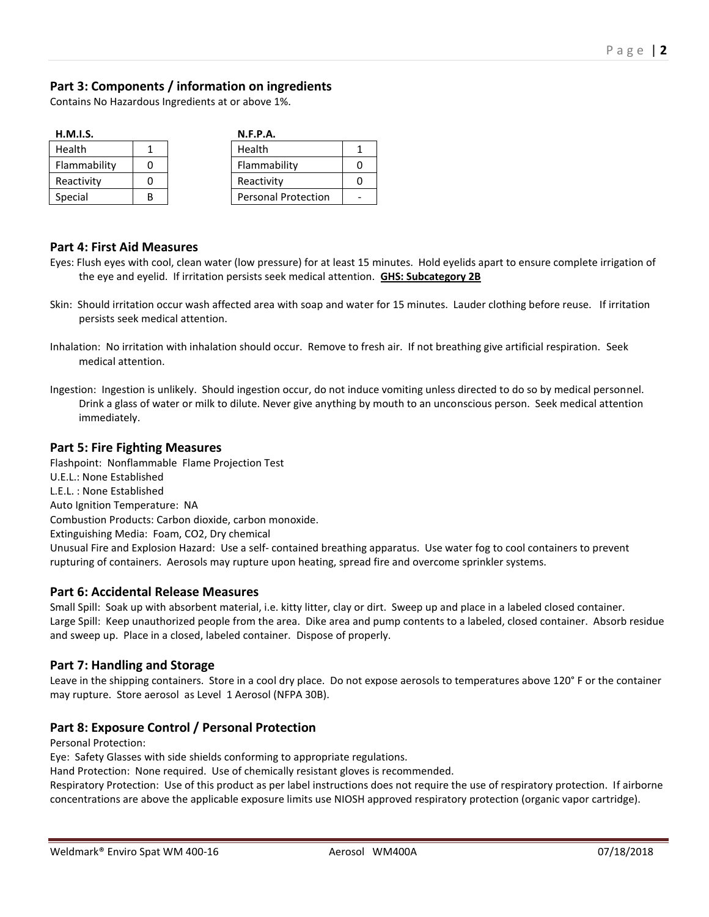# **Part 3: Components / information on ingredients**

Contains No Hazardous Ingredients at or above 1%.

| H.M.I.S.      |  |  | N.F.P.A.                   |  |
|---------------|--|--|----------------------------|--|
| <b>Health</b> |  |  | Health                     |  |
| Flammability  |  |  | Flammability               |  |
| Reactivity    |  |  | Reactivity                 |  |
| Special       |  |  | <b>Personal Protection</b> |  |

#### **Part 4: First Aid Measures**

- Eyes: Flush eyes with cool, clean water (low pressure) for at least 15 minutes. Hold eyelids apart to ensure complete irrigation of the eye and eyelid. If irritation persists seek medical attention. **GHS: Subcategory 2B**
- Skin: Should irritation occur wash affected area with soap and water for 15 minutes. Lauder clothing before reuse. If irritation persists seek medical attention.
- Inhalation: No irritation with inhalation should occur. Remove to fresh air. If not breathing give artificial respiration. Seek medical attention.
- Ingestion: Ingestion is unlikely. Should ingestion occur, do not induce vomiting unless directed to do so by medical personnel. Drink a glass of water or milk to dilute. Never give anything by mouth to an unconscious person. Seek medical attention immediately.

## **Part 5: Fire Fighting Measures**

Flashpoint: Nonflammable Flame Projection Test U.E.L.: None Established L.E.L. : None Established Auto Ignition Temperature: NA Combustion Products: Carbon dioxide, carbon monoxide. Extinguishing Media: Foam, CO2, Dry chemical Unusual Fire and Explosion Hazard: Use a self- contained breathing apparatus. Use water fog to cool containers to prevent rupturing of containers. Aerosols may rupture upon heating, spread fire and overcome sprinkler systems.

## **Part 6: Accidental Release Measures**

Small Spill: Soak up with absorbent material, i.e. kitty litter, clay or dirt. Sweep up and place in a labeled closed container. Large Spill: Keep unauthorized people from the area. Dike area and pump contents to a labeled, closed container. Absorb residue and sweep up. Place in a closed, labeled container. Dispose of properly.

## **Part 7: Handling and Storage**

Leave in the shipping containers. Store in a cool dry place. Do not expose aerosols to temperatures above 120° F or the container may rupture. Store aerosol as Level 1 Aerosol (NFPA 30B).

## **Part 8: Exposure Control / Personal Protection**

Personal Protection:

Eye: Safety Glasses with side shields conforming to appropriate regulations.

Hand Protection: None required. Use of chemically resistant gloves is recommended.

Respiratory Protection: Use of this product as per label instructions does not require the use of respiratory protection. If airborne concentrations are above the applicable exposure limits use NIOSH approved respiratory protection (organic vapor cartridge).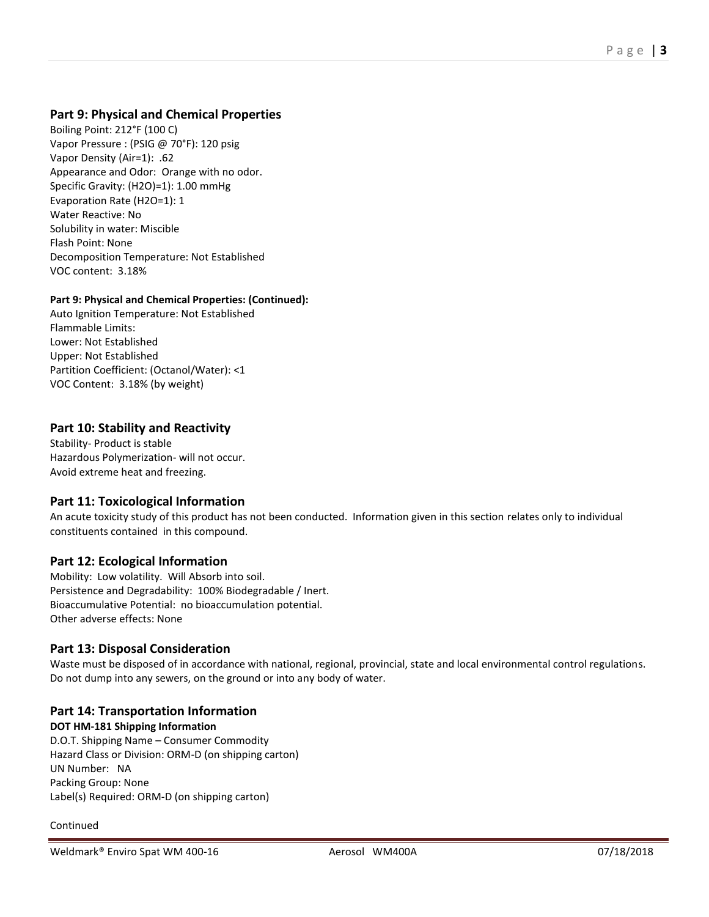# **Part 9: Physical and Chemical Properties**

Boiling Point: 212°F (100 C) Vapor Pressure : (PSIG @ 70°F): 120 psig Vapor Density (Air=1): .62 Appearance and Odor: Orange with no odor. Specific Gravity: (H2O)=1): 1.00 mmHg Evaporation Rate (H2O=1): 1 Water Reactive: No Solubility in water: Miscible Flash Point: None Decomposition Temperature: Not Established VOC content: 3.18%

#### **Part 9: Physical and Chemical Properties: (Continued):**

Auto Ignition Temperature: Not Established Flammable Limits: Lower: Not Established Upper: Not Established Partition Coefficient: (Octanol/Water): <1 VOC Content: 3.18% (by weight)

## **Part 10: Stability and Reactivity**

Stability- Product is stable Hazardous Polymerization- will not occur. Avoid extreme heat and freezing.

## **Part 11: Toxicological Information**

An acute toxicity study of this product has not been conducted. Information given in this section relates only to individual constituents contained in this compound.

## **Part 12: Ecological Information**

Mobility: Low volatility. Will Absorb into soil. Persistence and Degradability: 100% Biodegradable / Inert. Bioaccumulative Potential: no bioaccumulation potential. Other adverse effects: None

#### **Part 13: Disposal Consideration**

Waste must be disposed of in accordance with national, regional, provincial, state and local environmental control regulations. Do not dump into any sewers, on the ground or into any body of water.

#### **Part 14: Transportation Information**

**DOT HM-181 Shipping Information**

D.O.T. Shipping Name – Consumer Commodity Hazard Class or Division: ORM-D (on shipping carton) UN Number: NA Packing Group: None Label(s) Required: ORM-D (on shipping carton)

Continued